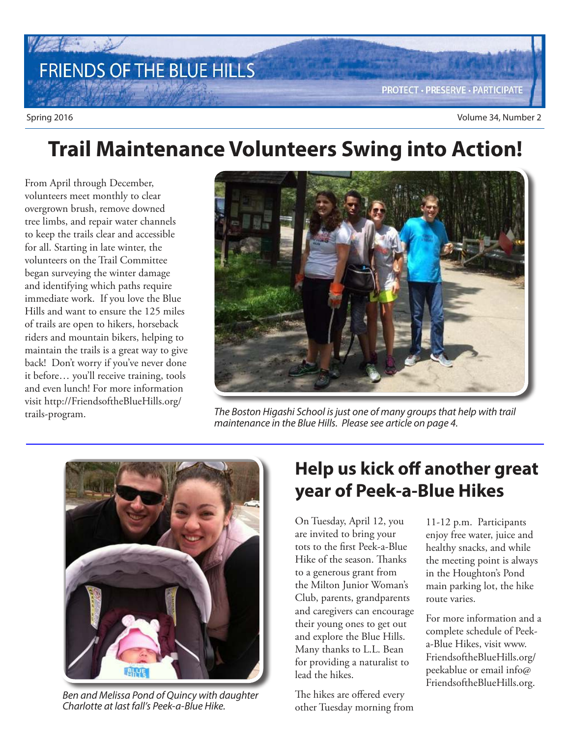

# **Trail Maintenance Volunteers Swing into Action!**

From April through December, volunteers meet monthly to clear overgrown brush, remove downed tree limbs, and repair water channels to keep the trails clear and accessible for all. Starting in late winter, the volunteers on the Trail Committee began surveying the winter damage and identifying which paths require immediate work. If you love the Blue Hills and want to ensure the 125 miles of trails are open to hikers, horseback riders and mountain bikers, helping to maintain the trails is a great way to give back! Don't worry if you've never done it before… you'll receive training, tools and even lunch! For more information visit http://FriendsoftheBlueHills.org/ trails-program.



The Boston Higashi School is just one of many groups that help with trail maintenance in the Blue Hills. Please see article on page 4.



Ben and Melissa Pond of Quincy with daughter Charlotte at last fall's Peek-a-Blue Hike.

### **Help us kick off another great year of Peek-a-Blue Hikes**

On Tuesday, April 12, you are invited to bring your tots to the first Peek-a-Blue Hike of the season. Thanks to a generous grant from the Milton Junior Woman's Club, parents, grandparents and caregivers can encourage their young ones to get out and explore the Blue Hills. Many thanks to L.L. Bean for providing a naturalist to lead the hikes.

The hikes are offered every other Tuesday morning from

11-12 p.m. Participants enjoy free water, juice and healthy snacks, and while the meeting point is always in the Houghton's Pond main parking lot, the hike route varies.

For more information and a complete schedule of Peeka-Blue Hikes, visit www. FriendsoftheBlueHills.org/ peekablue or email info@ FriendsoftheBlueHills.org.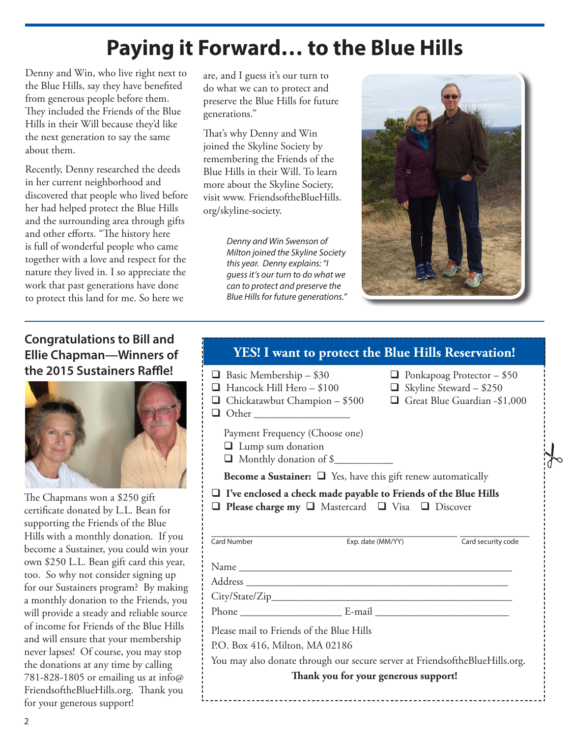# **Paying it Forward… to the Blue Hills**

Denny and Win, who live right next to the Blue Hills, say they have benefited from generous people before them. They included the Friends of the Blue Hills in their Will because they'd like the next generation to say the same about them.

Recently, Denny researched the deeds in her current neighborhood and discovered that people who lived before her had helped protect the Blue Hills and the surrounding area through gifts and other efforts. "The history here is full of wonderful people who came together with a love and respect for the nature they lived in. I so appreciate the work that past generations have done to protect this land for me. So here we

are, and I guess it's our turn to do what we can to protect and preserve the Blue Hills for future generations."

That's why Denny and Win joined the Skyline Society by remembering the Friends of the Blue Hills in their Will. To learn more about the Skyline Society, visit www. FriendsoftheBlueHills. org/skyline-society.

> Denny and Win Swenson of Milton joined the Skyline Society this year. Denny explains: "I guess it's our turn to do what we can to protect and preserve the Blue Hills for future generations."



 $\frac{1}{6}$ 

#### **Congratulations to Bill and Ellie Chapman—Winners of the 2015 Sustainers Raffle!**



The Chapmans won a \$250 gift certificate donated by L.L. Bean for supporting the Friends of the Blue Hills with a monthly donation. If you become a Sustainer, you could win your own \$250 L.L. Bean gift card this year, too. So why not consider signing up for our Sustainers program? By making a monthly donation to the Friends, you will provide a steady and reliable source of income for Friends of the Blue Hills and will ensure that your membership never lapses! Of course, you may stop the donations at any time by calling 781-828-1805 or emailing us at info $\omega$ FriendsoftheBlueHills.org. Thank you for your generous support!

#### **YES! I want to protect the Blue Hills Reservation!**

| ⊔                                                                                                                                               | $\Box$ Basic Membership - \$30<br>Hancock Hill Hero - \$100<br>$\Box$ Chickatawbut Champion - \$500<br>Payment Frequency (Choose one)<br>$\Box$ Lump sum donation<br>Monthly donation of \$ |                   | $\Box$ Ponkapoag Protector - \$50<br>$\Box$ Skyline Steward - \$250 | Great Blue Guardian -\$1,000 |
|-------------------------------------------------------------------------------------------------------------------------------------------------|---------------------------------------------------------------------------------------------------------------------------------------------------------------------------------------------|-------------------|---------------------------------------------------------------------|------------------------------|
| <b>Become a Sustainer:</b> $\Box$ Yes, have this gift renew automatically                                                                       |                                                                                                                                                                                             |                   |                                                                     |                              |
| $\Box$ I've enclosed a check made payable to Friends of the Blue Hills<br>$\Box$ Please charge my $\Box$ Mastercard $\Box$ Visa $\Box$ Discover |                                                                                                                                                                                             |                   |                                                                     |                              |
|                                                                                                                                                 | Card Number                                                                                                                                                                                 | Exp. date (MM/YY) |                                                                     | Card security code           |
|                                                                                                                                                 |                                                                                                                                                                                             |                   |                                                                     |                              |
|                                                                                                                                                 |                                                                                                                                                                                             |                   |                                                                     |                              |
|                                                                                                                                                 |                                                                                                                                                                                             |                   |                                                                     |                              |
|                                                                                                                                                 |                                                                                                                                                                                             |                   |                                                                     |                              |
|                                                                                                                                                 |                                                                                                                                                                                             |                   |                                                                     |                              |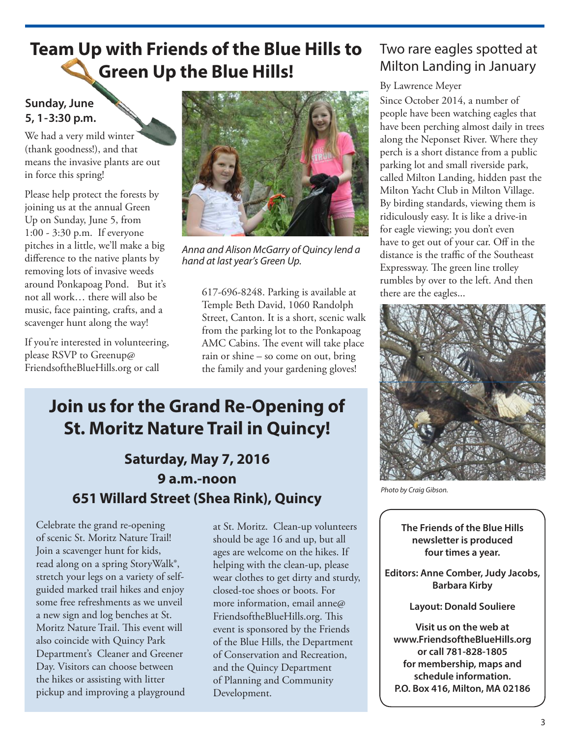### **Team Up with Friends of the Blue Hills to Green Up the Blue Hills!**

#### **Sunday, June 5, 1-3:30 p.m.**

We had a very mild winter (thank goodness!), and that means the invasive plants are out in force this spring!

Please help protect the forests by joining us at the annual Green Up on Sunday, June 5, from 1:00 - 3:30 p.m. If everyone pitches in a little, we'll make a big difference to the native plants by removing lots of invasive weeds around Ponkapoag Pond. But it's not all work… there will also be music, face painting, crafts, and a scavenger hunt along the way!

If you're interested in volunteering, please RSVP to Greenup@ FriendsoftheBlueHills.org or call



Anna and Alison McGarry of Quincy lend a hand at last year's Green Up.

617-696-8248. Parking is available at Temple Beth David, 1060 Randolph Street, Canton. It is a short, scenic walk from the parking lot to the Ponkapoag AMC Cabins. The event will take place rain or shine – so come on out, bring the family and your gardening gloves!

### **Join us for the Grand Re-Opening of St. Moritz Nature Trail in Quincy!**

### **Saturday, May 7, 2016 9 a.m.-noon 651 Willard Street (Shea Rink), Quincy**

Celebrate the grand re-opening of scenic St. Moritz Nature Trail! Join a scavenger hunt for kids, read along on a spring StoryWalk®, stretch your legs on a variety of selfguided marked trail hikes and enjoy some free refreshments as we unveil a new sign and log benches at St. Moritz Nature Trail. This event will also coincide with Quincy Park Department's Cleaner and Greener Day. Visitors can choose between the hikes or assisting with litter pickup and improving a playground

at St. Moritz. Clean-up volunteers should be age 16 and up, but all ages are welcome on the hikes. If helping with the clean-up, please wear clothes to get dirty and sturdy, closed-toe shoes or boots. For more information, email anne@ FriendsoftheBlueHills.org. This event is sponsored by the Friends of the Blue Hills, the Department of Conservation and Recreation, and the Quincy Department of Planning and Community Development.

### Two rare eagles spotted at Milton Landing in January

#### By Lawrence Meyer

Since October 2014, a number of people have been watching eagles that have been perching almost daily in trees along the Neponset River. Where they perch is a short distance from a public parking lot and small riverside park, called Milton Landing, hidden past the Milton Yacht Club in Milton Village. By birding standards, viewing them is ridiculously easy. It is like a drive-in for eagle viewing; you don't even have to get out of your car. Off in the distance is the traffic of the Southeast Expressway. The green line trolley rumbles by over to the left. And then there are the eagles...



Photo by Craig Gibson.

**The Friends of the Blue Hills newsletter is produced four times a year.**

**Editors: Anne Comber, Judy Jacobs, Barbara Kirby**

**Layout: Donald Souliere**

**Visit us on the web at www.FriendsoftheBlueHills.org or call 781-828-1805 for membership, maps and schedule information. P.O. Box 416, Milton, MA 02186**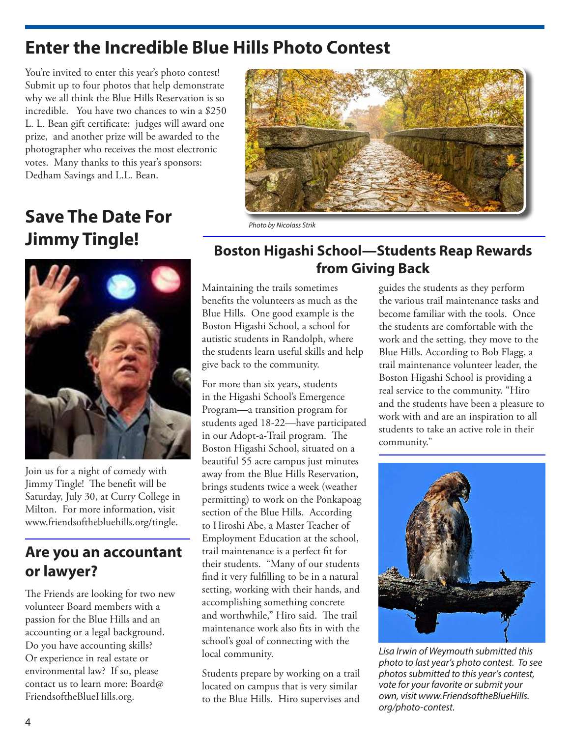### **Enter the Incredible Blue Hills Photo Contest**

You're invited to enter this year's photo contest! Submit up to four photos that help demonstrate why we all think the Blue Hills Reservation is so incredible. You have two chances to win a \$250 L. L. Bean gift certificate: judges will award one prize, and another prize will be awarded to the photographer who receives the most electronic votes. Many thanks to this year's sponsors: Dedham Savings and L.L. Bean.



## **Save The Date For Jimmy Tingle!**

#### Photo by Nicolass Strik



Join us for a night of comedy with Jimmy Tingle! The benefit will be Saturday, July 30, at Curry College in Milton. For more information, visit www.friendsofthebluehills.org/tingle.

### **Are you an accountant or lawyer?**

The Friends are looking for two new volunteer Board members with a passion for the Blue Hills and an accounting or a legal background. Do you have accounting skills? Or experience in real estate or environmental law? If so, please contact us to learn more: Board@ FriendsoftheBlueHills.org.

### **Boston Higashi School—Students Reap Rewards from Giving Back**

Maintaining the trails sometimes benefits the volunteers as much as the Blue Hills. One good example is the Boston Higashi School, a school for autistic students in Randolph, where the students learn useful skills and help give back to the community.

For more than six years, students in the Higashi School's Emergence Program—a transition program for students aged 18-22—have participated in our Adopt-a-Trail program. The Boston Higashi School, situated on a beautiful 55 acre campus just minutes away from the Blue Hills Reservation, brings students twice a week (weather permitting) to work on the Ponkapoag section of the Blue Hills. According to Hiroshi Abe, a Master Teacher of Employment Education at the school, trail maintenance is a perfect fit for their students. "Many of our students find it very fulfilling to be in a natural setting, working with their hands, and accomplishing something concrete and worthwhile," Hiro said. The trail maintenance work also fits in with the school's goal of connecting with the local community.

Students prepare by working on a trail located on campus that is very similar to the Blue Hills. Hiro supervises and

guides the students as they perform the various trail maintenance tasks and become familiar with the tools. Once the students are comfortable with the work and the setting, they move to the Blue Hills. According to Bob Flagg, a trail maintenance volunteer leader, the Boston Higashi School is providing a real service to the community. "Hiro and the students have been a pleasure to work with and are an inspiration to all students to take an active role in their community."



Lisa Irwin of Weymouth submitted this photo to last year's photo contest. To see photos submitted to this year's contest, vote for your favorite or submit your own, visit www.FriendsoftheBlueHills. org/photo-contest.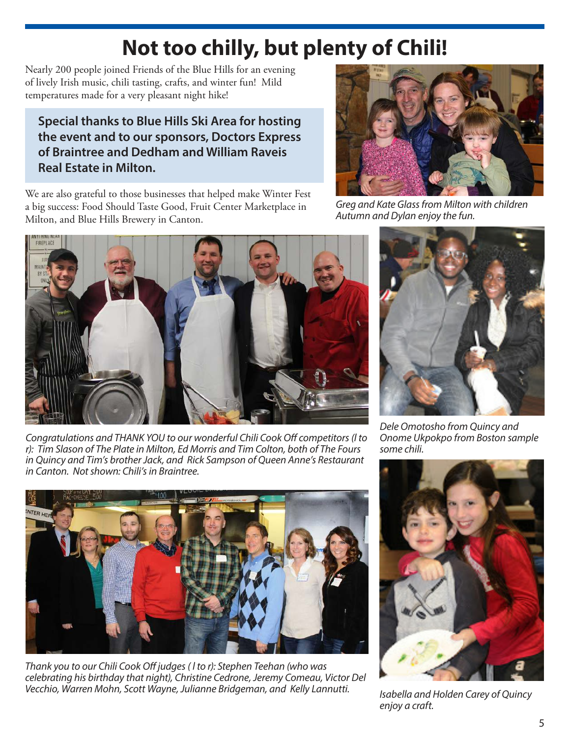# **Not too chilly, but plenty of Chili!**

Nearly 200 people joined Friends of the Blue Hills for an evening of lively Irish music, chili tasting, crafts, and winter fun! Mild temperatures made for a very pleasant night hike!

#### **Special thanks to Blue Hills Ski Area for hosting the event and to our sponsors, Doctors Express of Braintree and Dedham and William Raveis Real Estate in Milton.**

We are also grateful to those businesses that helped make Winter Fest a big success: Food Should Taste Good, Fruit Center Marketplace in Milton, and Blue Hills Brewery in Canton.



Congratulations and THANK YOU to our wonderful Chili Cook Off competitors (l to r): Tim Slason of The Plate in Milton, Ed Morris and Tim Colton, both of The Fours in Quincy and Tim's brother Jack, and Rick Sampson of Queen Anne's Restaurant in Canton. Not shown: Chili's in Braintree.



Thank you to our Chili Cook Off judges ( l to r): Stephen Teehan (who was celebrating his birthday that night), Christine Cedrone, Jeremy Comeau, Victor Del Vecchio, Warren Mohn, Scott Wayne, Julianne Bridgeman, and Kelly Lannutti.<br>Isabella and Holden Carey of Quincy



Greg and Kate Glass from Milton with children Autumn and Dylan enjoy the fun.



Dele Omotosho from Quincy and Onome Ukpokpo from Boston sample some chili.



enjoy a craft.